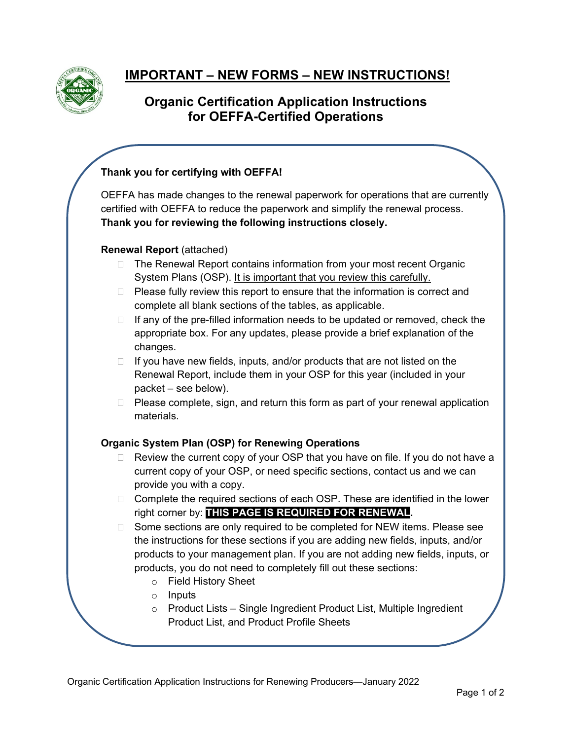

# **IMPORTANT – NEW FORMS – NEW INSTRUCTIONS!**

# **Organic Certification Application Instructions for OEFFA-Certified Operations**

# **Thank you for certifying with OEFFA!**

OEFFA has made changes to the renewal paperwork for operations that are currently certified with OEFFA to reduce the paperwork and simplify the renewal process. **Thank you for reviewing the following instructions closely.**

## **Renewal Report** (attached)

- □ The Renewal Report contains information from your most recent Organic System Plans (OSP). It is important that you review this carefully.
- $\Box$  Please fully review this report to ensure that the information is correct and complete all blank sections of the tables, as applicable.
- $\Box$  If any of the pre-filled information needs to be updated or removed, check the appropriate box. For any updates, please provide a brief explanation of the changes.
- $\Box$  If you have new fields, inputs, and/or products that are not listed on the Renewal Report, include them in your OSP for this year (included in your packet – see below).
- $\Box$  Please complete, sign, and return this form as part of your renewal application materials.

## **Organic System Plan (OSP) for Renewing Operations**

- $\Box$  Review the current copy of your OSP that you have on file. If you do not have a current copy of your OSP, or need specific sections, contact us and we can provide you with a copy.
- $\Box$  Complete the required sections of each OSP. These are identified in the lower right corner by: **THIS PAGE IS REQUIRED FOR RENEWAL.**
- $\Box$  Some sections are only required to be completed for NEW items. Please see the instructions for these sections if you are adding new fields, inputs, and/or products to your management plan. If you are not adding new fields, inputs, or products, you do not need to completely fill out these sections:
	- o Field History Sheet
	- o Inputs
	- o Product Lists Single Ingredient Product List, Multiple Ingredient Product List, and Product Profile Sheets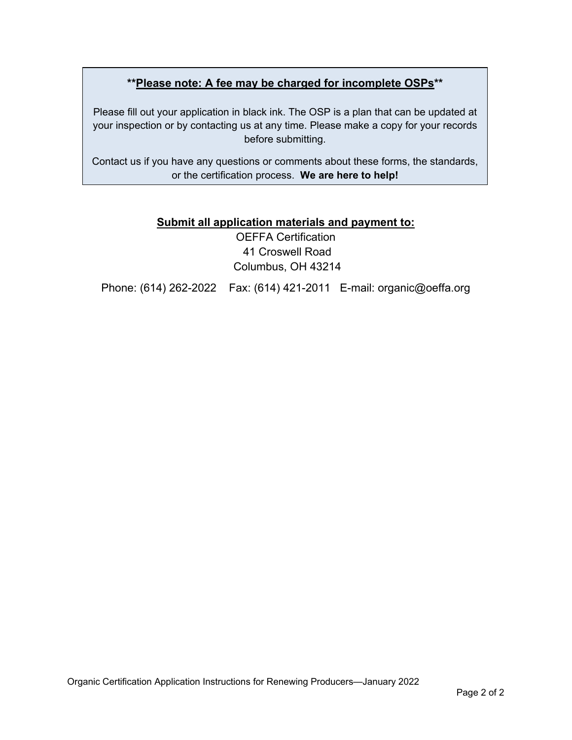# **\*\*Please note: A fee may be charged for incomplete OSPs\*\***

Please fill out your application in black ink. The OSP is a plan that can be updated at your inspection or by contacting us at any time. Please make a copy for your records before submitting.

Contact us if you have any questions or comments about these forms, the standards, or the certification process. **We are here to help!**

# **Submit all application materials and payment to:**

OEFFA Certification 41 Croswell Road Columbus, OH 43214

Phone: (614) 262-2022 Fax: (614) 421-2011 E-mail: organic@oeffa.org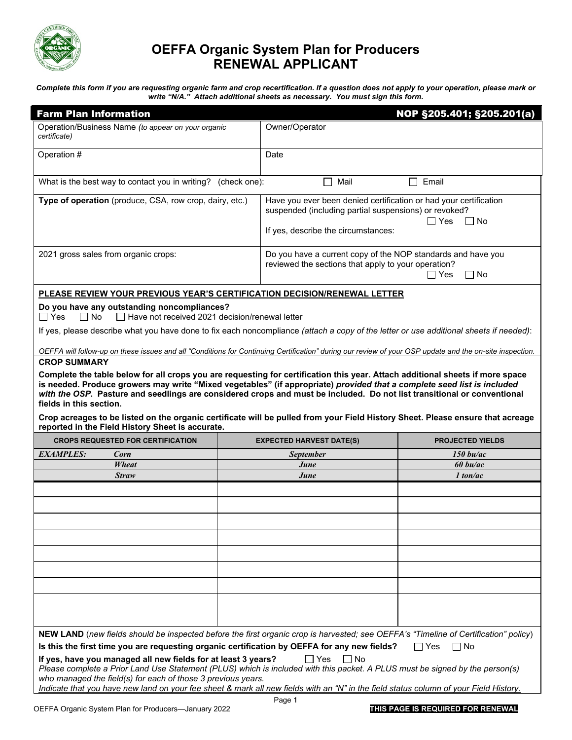

# **OEFFA Organic System Plan for Producers RENEWAL APPLICANT**

*Complete this form if you are requesting organic farm and crop recertification. If a question does not apply to your operation, please mark or write "N/A." Attach additional sheets as necessary. You must sign this form.*

| <b>Farm Plan Information</b>                                                                                                                                                                                                                                                                                                                                                                                                                                                                                                                                                                         |                                                                                                                                                                   | NOP §205.401; §205.201(a)                                                                                                                 |  |  |  |  |
|------------------------------------------------------------------------------------------------------------------------------------------------------------------------------------------------------------------------------------------------------------------------------------------------------------------------------------------------------------------------------------------------------------------------------------------------------------------------------------------------------------------------------------------------------------------------------------------------------|-------------------------------------------------------------------------------------------------------------------------------------------------------------------|-------------------------------------------------------------------------------------------------------------------------------------------|--|--|--|--|
| Operation/Business Name (to appear on your organic<br>certificate)                                                                                                                                                                                                                                                                                                                                                                                                                                                                                                                                   | Owner/Operator                                                                                                                                                    |                                                                                                                                           |  |  |  |  |
| Operation #                                                                                                                                                                                                                                                                                                                                                                                                                                                                                                                                                                                          | Date                                                                                                                                                              |                                                                                                                                           |  |  |  |  |
| What is the best way to contact you in writing?<br>(check one):                                                                                                                                                                                                                                                                                                                                                                                                                                                                                                                                      | Mail                                                                                                                                                              | Email                                                                                                                                     |  |  |  |  |
| Type of operation (produce, CSA, row crop, dairy, etc.)                                                                                                                                                                                                                                                                                                                                                                                                                                                                                                                                              | Have you ever been denied certification or had your certification<br>suspended (including partial suspensions) or revoked?<br>If yes, describe the circumstances: | □ Yes<br>l INo                                                                                                                            |  |  |  |  |
| 2021 gross sales from organic crops:                                                                                                                                                                                                                                                                                                                                                                                                                                                                                                                                                                 |                                                                                                                                                                   | Do you have a current copy of the NOP standards and have you<br>reviewed the sections that apply to your operation?<br>□ Yes<br>$\Box$ No |  |  |  |  |
| PLEASE REVIEW YOUR PREVIOUS YEAR'S CERTIFICATION DECISION/RENEWAL LETTER                                                                                                                                                                                                                                                                                                                                                                                                                                                                                                                             |                                                                                                                                                                   |                                                                                                                                           |  |  |  |  |
| Do you have any outstanding noncompliances?<br>$\Box$ Yes<br>$\Box$ No<br>$\Box$ Have not received 2021 decision/renewal letter                                                                                                                                                                                                                                                                                                                                                                                                                                                                      |                                                                                                                                                                   |                                                                                                                                           |  |  |  |  |
| If yes, please describe what you have done to fix each noncompliance (attach a copy of the letter or use additional sheets if needed):                                                                                                                                                                                                                                                                                                                                                                                                                                                               |                                                                                                                                                                   |                                                                                                                                           |  |  |  |  |
| OEFFA will follow-up on these issues and all "Conditions for Continuing Certification" during our review of your OSP update and the on-site inspection.<br><b>CROP SUMMARY</b>                                                                                                                                                                                                                                                                                                                                                                                                                       |                                                                                                                                                                   |                                                                                                                                           |  |  |  |  |
| Complete the table below for all crops you are requesting for certification this year. Attach additional sheets if more space<br>is needed. Produce growers may write "Mixed vegetables" (if appropriate) provided that a complete seed list is included<br>with the OSP. Pasture and seedlings are considered crops and must be included. Do not list transitional or conventional<br>fields in this section.<br>Crop acreages to be listed on the organic certificate will be pulled from your Field History Sheet. Please ensure that acreage<br>reported in the Field History Sheet is accurate. |                                                                                                                                                                   |                                                                                                                                           |  |  |  |  |
| <b>CROPS REQUESTED FOR CERTIFICATION</b>                                                                                                                                                                                                                                                                                                                                                                                                                                                                                                                                                             | <b>EXPECTED HARVEST DATE(S)</b>                                                                                                                                   | <b>PROJECTED YIELDS</b>                                                                                                                   |  |  |  |  |
| <b>EXAMPLES:</b><br>Corn                                                                                                                                                                                                                                                                                                                                                                                                                                                                                                                                                                             | <b>September</b>                                                                                                                                                  | $150$ bu/ac                                                                                                                               |  |  |  |  |
| Wheat                                                                                                                                                                                                                                                                                                                                                                                                                                                                                                                                                                                                | June                                                                                                                                                              | $60$ bu/ac                                                                                                                                |  |  |  |  |
| <b>Straw</b>                                                                                                                                                                                                                                                                                                                                                                                                                                                                                                                                                                                         | June                                                                                                                                                              | $1$ ton/ac                                                                                                                                |  |  |  |  |
|                                                                                                                                                                                                                                                                                                                                                                                                                                                                                                                                                                                                      |                                                                                                                                                                   |                                                                                                                                           |  |  |  |  |
|                                                                                                                                                                                                                                                                                                                                                                                                                                                                                                                                                                                                      |                                                                                                                                                                   |                                                                                                                                           |  |  |  |  |
|                                                                                                                                                                                                                                                                                                                                                                                                                                                                                                                                                                                                      |                                                                                                                                                                   |                                                                                                                                           |  |  |  |  |
|                                                                                                                                                                                                                                                                                                                                                                                                                                                                                                                                                                                                      |                                                                                                                                                                   |                                                                                                                                           |  |  |  |  |
| NEW LAND (new fields should be inspected before the first organic crop is harvested; see OEFFA's "Timeline of Certification" policy)<br>Is this the first time you are requesting organic certification by OEFFA for any new fields?<br>If yes, have you managed all new fields for at least 3 years?                                                                                                                                                                                                                                                                                                | $\Box$ Yes<br>l INo                                                                                                                                               | l INo<br>l IYes                                                                                                                           |  |  |  |  |
| Please complete a Prior Land Use Statement (PLUS) which is included with this packet. A PLUS must be signed by the person(s)<br>who managed the field(s) for each of those 3 previous years.<br>Indicate that you have new land on your fee sheet & mark all new fields with an "N" in the field status column of your Field History.                                                                                                                                                                                                                                                                |                                                                                                                                                                   |                                                                                                                                           |  |  |  |  |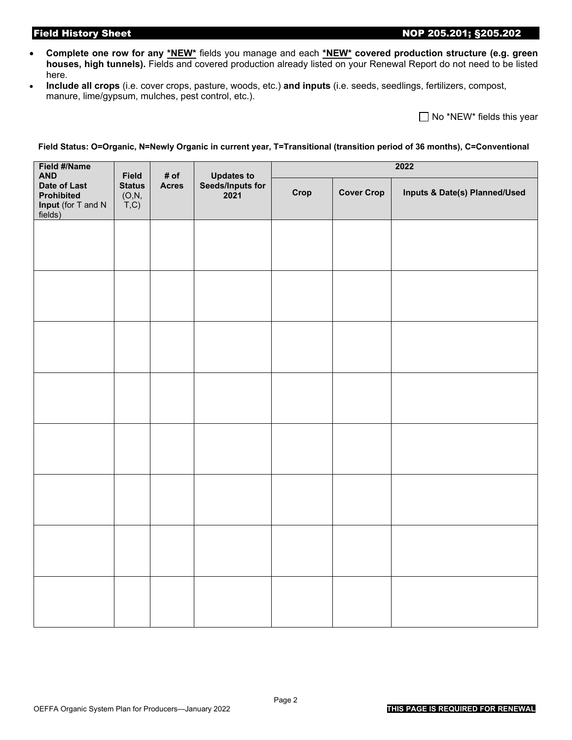### Field History Sheet 205.201; §205.202

- **Complete one row for any \*NEW\*** fields you manage and each **\*NEW\* covered production structure (e.g. green houses, high tunnels).** Fields and covered production already listed on your Renewal Report do not need to be listed here.
- **Include all crops** (i.e. cover crops, pasture, woods, etc.) **and inputs** (i.e. seeds, seedlings, fertilizers, compost, manure, lime/gypsum, mulches, pest control, etc.).

 $\Box$  No \*NEW\* fields this year

#### **Field Status: O=Organic, N=Newly Organic in current year, T=Transitional (transition period of 36 months), C=Conventional**

| Field #/Name<br><b>AND</b>                                                | <b>Field</b>                                                 | # of         |                                        | 2022 |                   |                               |  |  |
|---------------------------------------------------------------------------|--------------------------------------------------------------|--------------|----------------------------------------|------|-------------------|-------------------------------|--|--|
| Date of Last<br><b>Prohibited</b><br><b>Input</b> (for T and N<br>fields) | <b>Status</b><br>(O, N,<br>$\overline{T}$ , $\overline{C}$ ) | <b>Acres</b> | Updates to<br>Seeds/Inputs for<br>2021 | Crop | <b>Cover Crop</b> | Inputs & Date(s) Planned/Used |  |  |
|                                                                           |                                                              |              |                                        |      |                   |                               |  |  |
|                                                                           |                                                              |              |                                        |      |                   |                               |  |  |
|                                                                           |                                                              |              |                                        |      |                   |                               |  |  |
|                                                                           |                                                              |              |                                        |      |                   |                               |  |  |
|                                                                           |                                                              |              |                                        |      |                   |                               |  |  |
|                                                                           |                                                              |              |                                        |      |                   |                               |  |  |
|                                                                           |                                                              |              |                                        |      |                   |                               |  |  |
|                                                                           |                                                              |              |                                        |      |                   |                               |  |  |
|                                                                           |                                                              |              |                                        |      |                   |                               |  |  |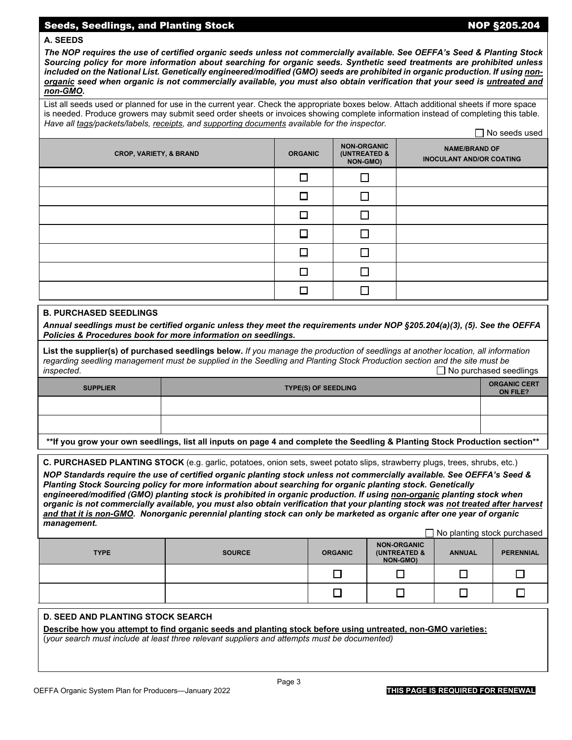### Seeds, Seedlings, and Planting Stock NOP §205.204

#### **A. SEEDS**

*The NOP requires the use of certified organic seeds unless not commercially available. See OEFFA's Seed & Planting Stock Sourcing policy for more information about searching for organic seeds. Synthetic seed treatments are prohibited unless included on the National List. Genetically engineered/modified (GMO) seeds are prohibited in organic production. If using nonorganic seed when organic is not commercially available, you must also obtain verification that your seed is untreated and non-GMO.* 

List all seeds used or planned for use in the current year. Check the appropriate boxes below. Attach additional sheets if more space is needed. Produce growers may submit seed order sheets or invoices showing complete information instead of completing this table. *Have all tags/packets/labels, receipts, and supporting documents available for the inspector.*  No seeds used

| <b>CROP, VARIETY, &amp; BRAND</b> | <b>ORGANIC</b> | <b>NON-ORGANIC</b><br>(UNTREATED &<br>NON-GMO) | $\Box$ TVO accuational<br><b>NAME/BRAND OF</b><br><b>INOCULANT AND/OR COATING</b> |
|-----------------------------------|----------------|------------------------------------------------|-----------------------------------------------------------------------------------|
|                                   | П              |                                                |                                                                                   |
|                                   | П              | П                                              |                                                                                   |
|                                   |                |                                                |                                                                                   |
|                                   | П              | П                                              |                                                                                   |
|                                   | П              | П                                              |                                                                                   |
|                                   | ┍              |                                                |                                                                                   |
|                                   |                |                                                |                                                                                   |

#### **B. PURCHASED SEEDLINGS**

*Annual seedlings must be certified organic unless they meet the requirements under NOP §205.204(a)(3), (5). See the OEFFA Policies & Procedures book for more information on seedlings.*

**List the supplier(s) of purchased seedlings below.** *If you manage the production of seedlings at another location, all information regarding seedling management must be supplied in the Seedling and Planting Stock Production section and the site must be*   $□$  **No purchased seedlings** 

| <b>SUPPLIER</b>                                                                                                             | <b>TYPE(S) OF SEEDLING</b> | <b>ORGANIC CERT</b><br><b>ON FILE?</b> |  |
|-----------------------------------------------------------------------------------------------------------------------------|----------------------------|----------------------------------------|--|
|                                                                                                                             |                            |                                        |  |
|                                                                                                                             |                            |                                        |  |
| **If you grow your own seedlings, list all inputs on page 4 and complete the Seedling & Planting Stock Production section** |                            |                                        |  |

**C. PURCHASED PLANTING STOCK** (e.g. garlic, potatoes, onion sets, sweet potato slips, strawberry plugs, trees, shrubs, etc.)

*NOP Standards require the use of certified organic planting stock unless not commercially available. See OEFFA's Seed & Planting Stock Sourcing policy for more information about searching for organic planting stock. Genetically engineered/modified (GMO) planting stock is prohibited in organic production. If using non-organic planting stock when organic is not commercially available, you must also obtain verification that your planting stock was not treated after harvest and that it is non-GMO. Nonorganic perennial planting stock can only be marketed as organic after one year of organic management.*

|             |               |                |                                                           | No planting stock purchased |                  |
|-------------|---------------|----------------|-----------------------------------------------------------|-----------------------------|------------------|
| <b>TYPE</b> | <b>SOURCE</b> | <b>ORGANIC</b> | <b>NON-ORGANIC</b><br><b>(UNTREATED &amp;</b><br>NON-GMO) | <b>ANNUAL</b>               | <b>PERENNIAL</b> |
|             |               |                |                                                           |                             |                  |
|             |               |                |                                                           |                             |                  |

### **D. SEED AND PLANTING STOCK SEARCH**

**Describe how you attempt to find organic seeds and planting stock before using untreated, non-GMO varieties:**

(*your search must include at least three relevant suppliers and attempts must be documented)*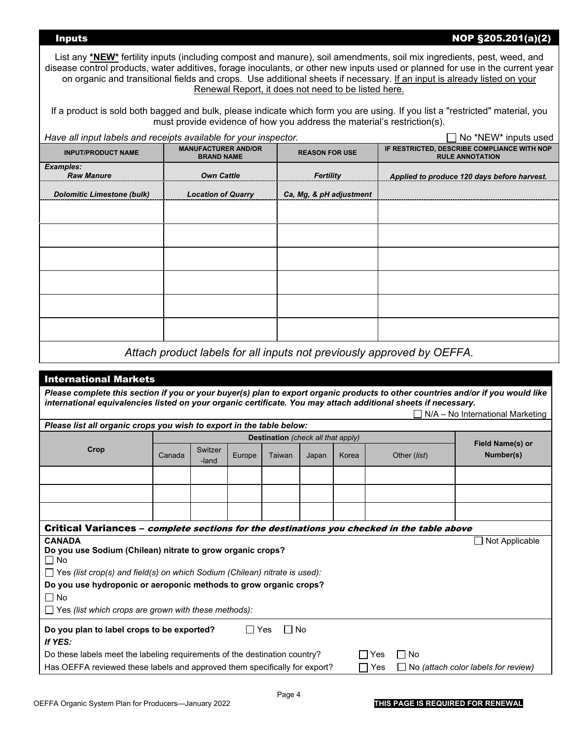### Inputs NOP §205.201(a)(2)

List any **\*NEW**\* fertility inputs (including compost and manure), soil amendments, soil mix ingredients, pest, weed, and disease control products, water additives, forage inoculants, or other new inputs used or planned for use in the current year on organic and transitional fields and crops. Use additional sheets if necessary. If an input is already listed on your Renewal Report, it does not need to be listed here.

If a product is sold both bagged and bulk, please indicate which form you are using. If you list a "restricted" material, you must provide evidence of how you address the material's restriction(s).

| Have all input labels and receipts available for your inspector. |                                                                       |                         | No *NEW* inputs used                                                  |
|------------------------------------------------------------------|-----------------------------------------------------------------------|-------------------------|-----------------------------------------------------------------------|
| <b>INPUT/PRODUCT NAME</b>                                        | <b>MANUFACTURER AND/OR</b><br><b>BRAND NAME</b>                       | <b>REASON FOR USE</b>   | IF RESTRICTED, DESCRIBE COMPLIANCE WITH NOP<br><b>RULE ANNOTATION</b> |
| <b>Examples:</b>                                                 |                                                                       |                         |                                                                       |
| <b>Raw Manure</b>                                                | <b>Own Cattle</b>                                                     | <b>Fertility</b>        | Applied to produce 120 days before harvest.                           |
| <b>Dolomitic Limestone (bulk)</b>                                | <b>Location of Quarry</b>                                             | Ca, Mg, & pH adjustment |                                                                       |
|                                                                  |                                                                       |                         |                                                                       |
|                                                                  |                                                                       |                         |                                                                       |
|                                                                  |                                                                       |                         |                                                                       |
|                                                                  |                                                                       |                         |                                                                       |
|                                                                  |                                                                       |                         |                                                                       |
|                                                                  |                                                                       |                         |                                                                       |
|                                                                  | Attach product labels for all inputs not previously approved by OEEEA |                         |                                                                       |

*Attach product labels for all inputs not previously approved by OEFFA.*

| <b>International Markets</b>                                                                                                     |        |                  |            |                                    |       |          |     |              |                                     |
|----------------------------------------------------------------------------------------------------------------------------------|--------|------------------|------------|------------------------------------|-------|----------|-----|--------------|-------------------------------------|
| Please complete this section if you or your buyer(s) plan to export organic products to other countries and/or if you would like |        |                  |            |                                    |       |          |     |              |                                     |
| international equivalencies listed on your organic certificate. You may attach additional sheets if necessary.                   |        |                  |            |                                    |       |          |     |              | N/A - No International Marketing    |
| Please list all organic crops you wish to export in the table below:                                                             |        |                  |            |                                    |       |          |     |              |                                     |
|                                                                                                                                  |        |                  |            | Destination (check all that apply) |       |          |     |              | <b>Field Name(s) or</b>             |
| Crop                                                                                                                             | Canada | Switzer<br>-land | Europe     | Taiwan                             | Japan | Korea    |     | Other (list) | Number(s)                           |
|                                                                                                                                  |        |                  |            |                                    |       |          |     |              |                                     |
|                                                                                                                                  |        |                  |            |                                    |       |          |     |              |                                     |
|                                                                                                                                  |        |                  |            |                                    |       |          |     |              |                                     |
| Critical Variances – <i>complete sections for the destinations you checked in the table above</i>                                |        |                  |            |                                    |       |          |     |              |                                     |
| <b>CANADA</b>                                                                                                                    |        |                  |            |                                    |       |          |     |              | Not Applicable                      |
| Do you use Sodium (Chilean) nitrate to grow organic crops?<br>∩ No                                                               |        |                  |            |                                    |       |          |     |              |                                     |
| $\Box$ Yes (list crop(s) and field(s) on which Sodium (Chilean) nitrate is used):                                                |        |                  |            |                                    |       |          |     |              |                                     |
| Do you use hydroponic or aeroponic methods to grow organic crops?                                                                |        |                  |            |                                    |       |          |     |              |                                     |
| $\Box$ No                                                                                                                        |        |                  |            |                                    |       |          |     |              |                                     |
| $\Box$ Yes (list which crops are grown with these methods):                                                                      |        |                  |            |                                    |       |          |     |              |                                     |
| Do you plan to label crops to be exported?                                                                                       |        |                  | $\Box$ Yes | ∏ No                               |       |          |     |              |                                     |
| If YES:                                                                                                                          |        |                  |            |                                    |       |          |     |              |                                     |
| Do these labels meet the labeling requirements of the destination country?                                                       |        |                  |            |                                    |       | <b>.</b> | Yes | □ No         |                                     |
| Has OEFFA reviewed these labels and approved them specifically for export?                                                       |        |                  |            |                                    |       |          | Yes |              | No (attach color labels for review) |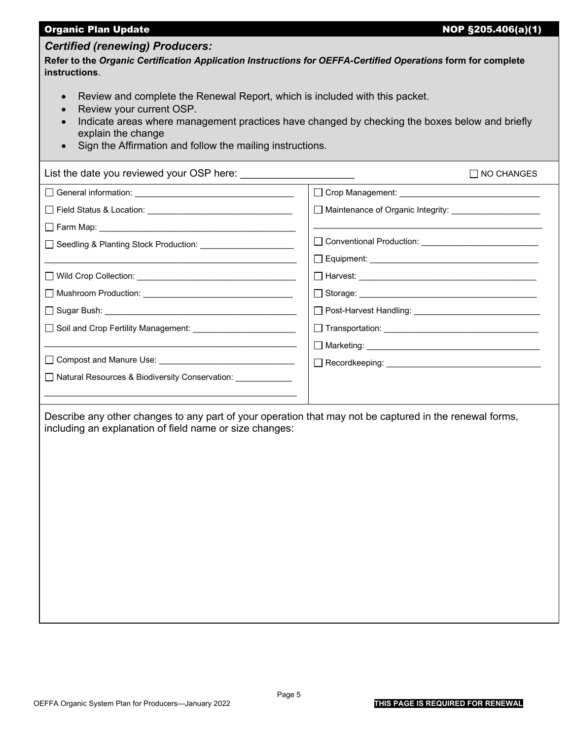| <b>Organic Plan Update</b>                                                                                                                                                                                                                                                                                | NOP §205.406(a)(1)                                                               |
|-----------------------------------------------------------------------------------------------------------------------------------------------------------------------------------------------------------------------------------------------------------------------------------------------------------|----------------------------------------------------------------------------------|
| <b>Certified (renewing) Producers:</b><br>Refer to the Organic Certification Application Instructions for OEFFA-Certified Operations form for complete<br>instructions.                                                                                                                                   |                                                                                  |
| Review and complete the Renewal Report, which is included with this packet.<br>$\bullet$<br>Review your current OSP.<br>Indicate areas where management practices have changed by checking the boxes below and briefly<br>explain the change<br>Sign the Affirmation and follow the mailing instructions. |                                                                                  |
| List the date you reviewed your OSP here: __________                                                                                                                                                                                                                                                      | □ NO CHANGES                                                                     |
|                                                                                                                                                                                                                                                                                                           |                                                                                  |
|                                                                                                                                                                                                                                                                                                           | □ Maintenance of Organic Integrity: <u>■ 【 Maintenance</u> of Organic Integrity: |
|                                                                                                                                                                                                                                                                                                           |                                                                                  |
| □ Seedling & Planting Stock Production: ________________________                                                                                                                                                                                                                                          |                                                                                  |
|                                                                                                                                                                                                                                                                                                           |                                                                                  |
|                                                                                                                                                                                                                                                                                                           |                                                                                  |
|                                                                                                                                                                                                                                                                                                           |                                                                                  |
|                                                                                                                                                                                                                                                                                                           |                                                                                  |
|                                                                                                                                                                                                                                                                                                           |                                                                                  |
|                                                                                                                                                                                                                                                                                                           |                                                                                  |
|                                                                                                                                                                                                                                                                                                           |                                                                                  |
| □ Natural Resources & Biodiversity Conservation:                                                                                                                                                                                                                                                          |                                                                                  |
| Describe any other changes to any part of your operation that may not be captured in the renewal forms,<br>including an explanation of field name or size changes:                                                                                                                                        |                                                                                  |